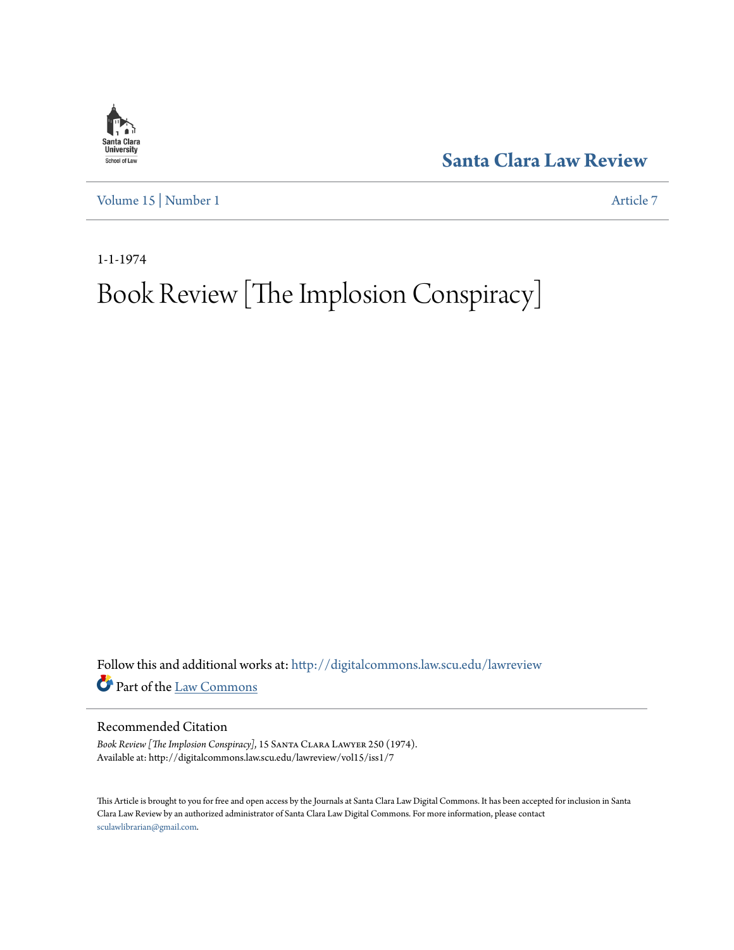

**[Santa Clara Law Review](http://digitalcommons.law.scu.edu/lawreview?utm_source=digitalcommons.law.scu.edu%2Flawreview%2Fvol15%2Fiss1%2F7&utm_medium=PDF&utm_campaign=PDFCoverPages)**

[Volume 15](http://digitalcommons.law.scu.edu/lawreview/vol15?utm_source=digitalcommons.law.scu.edu%2Flawreview%2Fvol15%2Fiss1%2F7&utm_medium=PDF&utm_campaign=PDFCoverPages) | [Number 1](http://digitalcommons.law.scu.edu/lawreview/vol15/iss1?utm_source=digitalcommons.law.scu.edu%2Flawreview%2Fvol15%2Fiss1%2F7&utm_medium=PDF&utm_campaign=PDFCoverPages) [Article 7](http://digitalcommons.law.scu.edu/lawreview/vol15/iss1/7?utm_source=digitalcommons.law.scu.edu%2Flawreview%2Fvol15%2Fiss1%2F7&utm_medium=PDF&utm_campaign=PDFCoverPages)

1-1-1974

# Book Review [The Implosion Conspiracy]

Follow this and additional works at: [http://digitalcommons.law.scu.edu/lawreview](http://digitalcommons.law.scu.edu/lawreview?utm_source=digitalcommons.law.scu.edu%2Flawreview%2Fvol15%2Fiss1%2F7&utm_medium=PDF&utm_campaign=PDFCoverPages) Part of the [Law Commons](http://network.bepress.com/hgg/discipline/578?utm_source=digitalcommons.law.scu.edu%2Flawreview%2Fvol15%2Fiss1%2F7&utm_medium=PDF&utm_campaign=PDFCoverPages)

## Recommended Citation

Book Review [The Implosion Conspiracy], 15 SANTA CLARA LAWYER 250 (1974). Available at: http://digitalcommons.law.scu.edu/lawreview/vol15/iss1/7

This Article is brought to you for free and open access by the Journals at Santa Clara Law Digital Commons. It has been accepted for inclusion in Santa Clara Law Review by an authorized administrator of Santa Clara Law Digital Commons. For more information, please contact [sculawlibrarian@gmail.com](mailto:sculawlibrarian@gmail.com).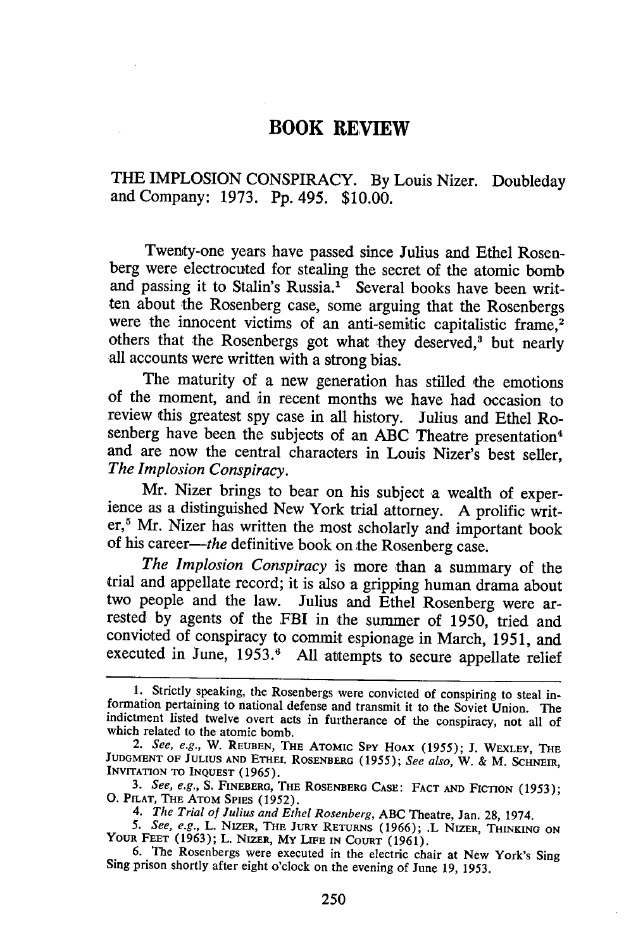## **BOOK REVIEW**

THE **IMPLOSION** CONSPIRACY. **By** Louis Nizer. Doubleday and Company: **1973. Pp.** 495. **\$10.00.**

Twenty-one years have passed since Julius and Ethel Rosenberg were electrocuted for stealing the secret of the atomic bomb and passing it to Stalin's Russia.' Several books have been written about the Rosenberg case, some arguing that the Rosenbergs were the innocent victims of an anti-semitic capitalistic frame,<sup>2</sup> others that the Rosenbergs got what they deserved,<sup>3</sup> but nearly all accounts were written with a strong bias.

The maturity of a new generation has stilled the emotions of the moment, and in recent months we have had occasion to review this greatest spy case in all history. Julius and Ethel Rosenberg have been the subjects of an ABC Theatre presentation<sup>4</sup> and are now the central characters in Louis Nizer's best seller, *The Implosion Conspiracy.*

Mr. Nizer brings to bear on his subject a wealth of experience as a distinguished New York trial attorney. A prolific writer,<sup>5</sup> Mr. Nizer has written the most scholarly and important book of his career-the definitive book on the Rosenberg case.

*The Implosion Conspiracy* is more than a summary of the trial and appellate record; it is also a gripping human drama about two people and the law. Julius and Ethel Rosenberg were arrested by agents of the FBI in the summer of 1950, tried and convicted of conspiracy to commit espionage in March, 1951, and executed in June, **1953.6** All attempts to secure appellate relief

<sup>1.</sup> Strictly speaking, the Rosenbergs were convicted of conspiring to steal information pertaining to national defense and transmit it to the Soviet Union. The indictment listed twelve overt acts in furtherance of the conspiracy, not all of which related to the atomic bomb.

*<sup>2.</sup> See, e.g.,* W. **REUBEN, THE** ATOMIC **Spy** HOAX (1955); J. WEXLEY, **THE** JUDGMENT OF JULIUS AND ETHEL ROSENBERG (1955); See also, W. & M. SCHNEIR, **INvITATION** TO **INQUEST** (1965).

*<sup>3.</sup> See, e.g.,* S. FINEBERG, **THE ROSENBERG CASE: FACT AND** FICTION (1953); **0.** PILAT, **THE** ATOM **SPIES** (1952).

*<sup>4.</sup> The Trial of Julius and Ethel Rosenberg,* ABC Theatre, Jan. 28, 1974.

<sup>5.</sup> See, e.g., L. NIZER, THE JURY RETURNS (1966); L. NIZER, THINKING ON YOUR FEET (1963); L. NIZER, MY LIFE IN COURT (1961).<br>6. The Rosenbergs were executed in the electric chair at New York's Sing Sing prison shortly after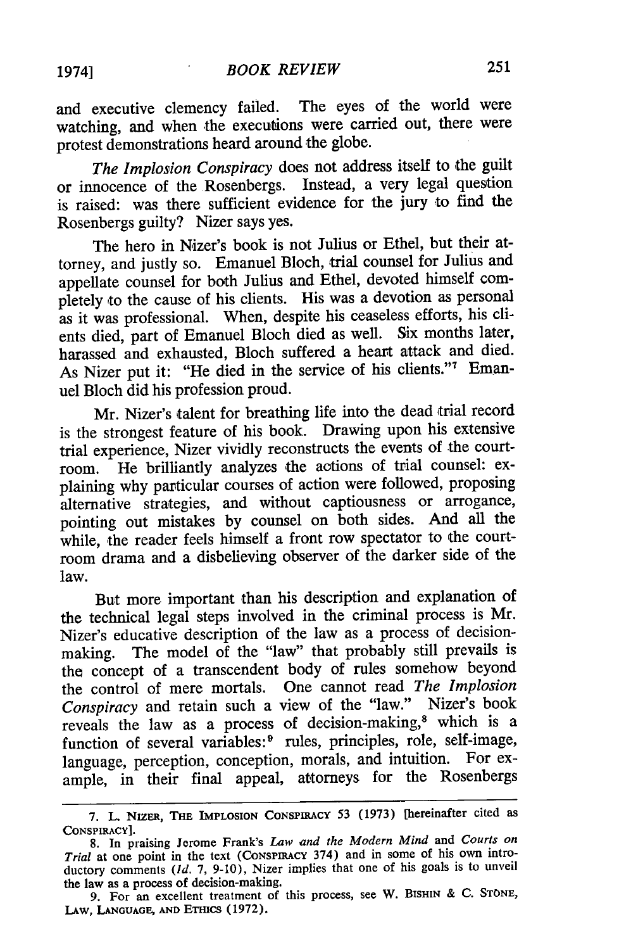and executive clemency failed. The eyes of the world were watching, and when the executions were carried out, there were protest demonstrations heard around the globe.

*The Implosion Conspiracy* does not address itself to the guilt or innocence of the Rosenbergs. Instead, a very legal question is raised: was there sufficient evidence for the jury to find the Rosenbergs guilty? Nizer says yes.

The hero in Nizer's book is not Julius or Ethel, but their attorney, and justly so. Emanuel Bloch, trial counsel for Julius and appellate counsel for both Julius and Ethel, devoted himself completely to the cause of his clients. His was a devotion as personal as it was professional. When, despite his ceaseless efforts, his clients died, part of Emanuel Bloch died as well. Six months later, harassed and exhausted, Bloch suffered a heart attack and died. As Nizer put it: "He died in the service of his clients."7 Emanuel Bloch did his profession proud.

Mr. Nizer's talent for breathing life into the dead trial record is the strongest feature of his book. Drawing upon his extensive trial experience, Nizer vividly reconstructs the events of the courtroom. He brilliantly analyzes the actions of trial counsel: explaining why particular courses of action were followed, proposing alternative strategies, and without captiousness or arrogance, pointing out mistakes by counsel on both sides. And all the while, the reader feels himself a front row spectator to the courtroom drama and a disbelieving observer of the darker side of the law.

But more important than his description and explanation of the technical legal steps involved in the criminal process is Mr. Nizer's educative description of the law as a process of decisionmaking. The model of the "law" that probably still prevails is the concept of a transcendent body of rules somehow beyond the control of mere mortals. One cannot read *The Implosion Conspiracy* and retain such a view of the "law." Nizer's book reveals the law as a process of decision-making,8 which is a function of several variables:<sup>9</sup> rules, principles, role, self-image, language, perception, conception, morals, and intuition. For example, in their final appeal, attorneys for the Rosenbergs

**<sup>7.</sup>** L NIzaa, **THE IMPLOSION** CONSPIRACY 53 (1973) [hereinafter cited as CONSPIRACY].

**<sup>8.</sup>** In praising Jerome Frank's *Law and the Modern Mind* and *Courts on Trial* at one point in the text **(CONSPIRACY** 374) and in some of his own introductory comments *(Id.* **7, 9-10),** Nizer implies that one of his goals is to unveil the law as a process of decision-making.

<sup>9.</sup> For an excellent treatment of this process, see W. BISHIN & C. **STONE,** LAW, LANGUAGE, AND ETHICS (1972).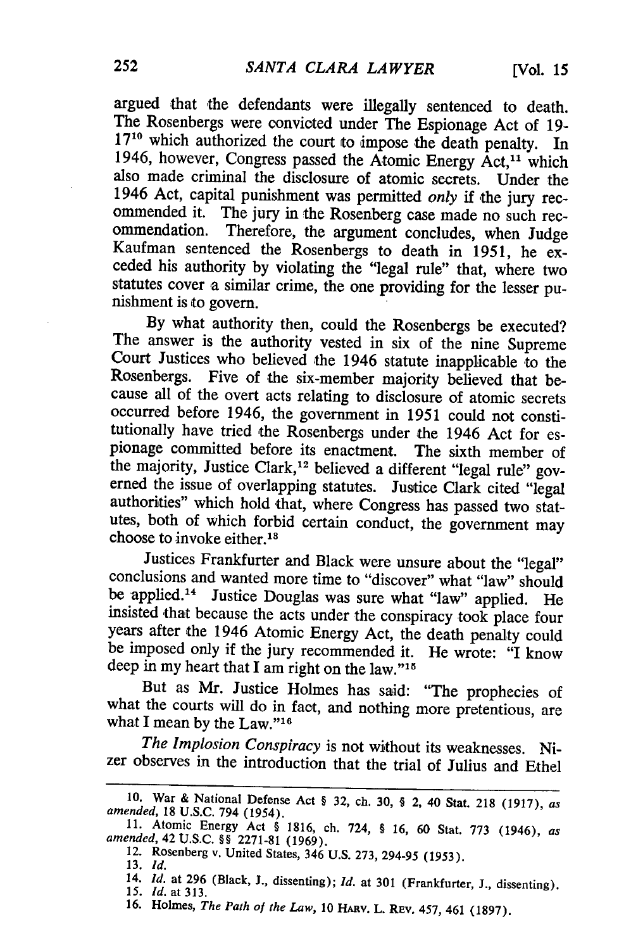argued that the defendants were illegally sentenced to death. The Rosenbergs were convicted under The Espionage Act of 19-<br> $17^{10}$  which authorized the court to impose the death penalty. In 1946, however, Congress passed the Atomic Energy Act,<sup>11</sup> which also made criminal the disclosure of atomic secrets. Under the 1946 Act, capital punishment was permitted *only if* the jury recommended it. The jury in the Rosenberg case made no such recommendation. Therefore, the argument concludes, when Judge Kaufman sentenced the Rosenbergs to death in 1951, he exceded his authority by violating the "legal rule" that, where two statutes cover a similar crime, the one providing for the lesser pu- nishment is to govern.

By what authority then, could the Rosenbergs be executed?<br>The answer is the authority vested in six of the nine Supreme Court Justices who believed the 1946 statute inapplicable to the Rosenbergs. Five of the six-member majority believed that because all of the overt acts relating to disclosure of atomic secrets occurred before 1946, the government in 1951 could not constitutionally have tried the Rosenbergs under the 1946 Act for espionage committed before its enactment. The sixth member of the majority, Justice Clark,<sup>12</sup> believed a different "legal rule" governed the issue of overlapping statutes. Justice Clark cited "legal authorities" which hold that, where Congress has passed two statutes, both of which forbid certain conduct, the government may choose to invoke either. <sup>13</sup>

Justices Frankfurter and Black were unsure about the "legal" conclusions and wanted more time to "discover" what "law" should be applied.<sup>14</sup> Justice Douglas was sure what "law" applied. He insisted that because the acts under the conspiracy took place four years after the 1946 Atomic Energy Act, the death penalty could be imposed only if the jury recommended it. He wrote: "I know deep in my heart that I am right on the law."<sup>15</sup>

But as Mr. Justice Holmes has said: "The prophecies of what the courts will do in fact, and nothing more pretentious, are what I mean by the Law." $16$ 

*The Implosion Conspiracy* is not without its weaknesses. Nizer observes in the introduction that the trial of Julius and Ethel

<sup>10.</sup> War & National Defense Act § 32, ch. 30, § 2, 40 Stat. 218 (1917), as<br>amended, 18 U.S.C. 794 (1954).<br>11. Atomic Energy Act § 1816, ch. 724, § 16, 60 Stat. 773 (1946), as<br>amended, 42 U.S.C. §§ 2271-81 (1969).<br>12. Rosenb

<sup>13.</sup> *Id.*

<sup>14.</sup> *Id.* at 296 (Black, J., dissenting); *Id.* at 301 (Frankfurter, J., dissenting). *15.* Id. at 313.

<sup>16.</sup> Holmes, *The Path of the Law,* 10 HARv. L. REV. 457, 461 (1897).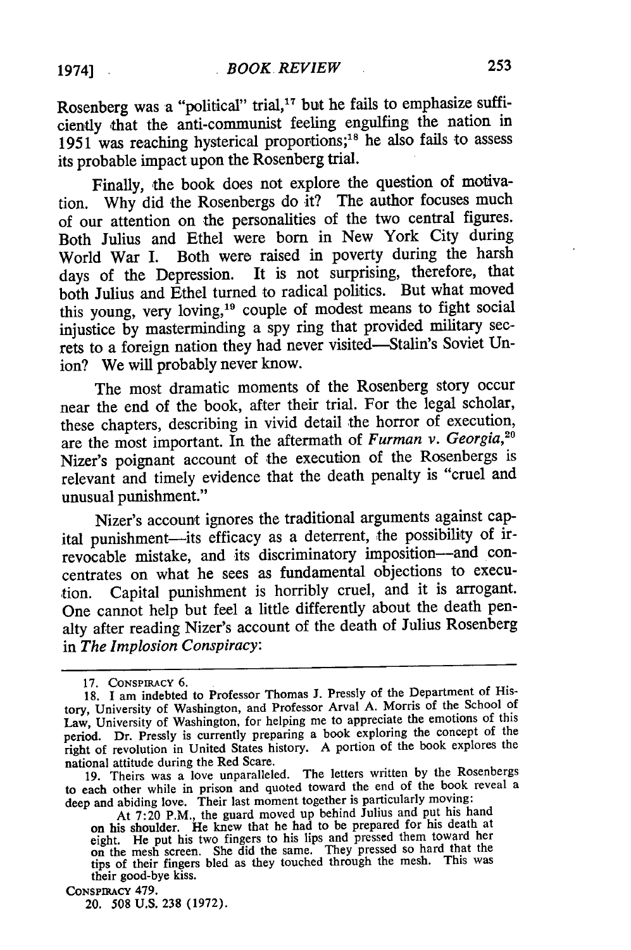Rosenberg was a "political" trial,<sup>17</sup> but he fails to emphasize sufficiently that the anti-communist feeling engulfing the nation in 1951 was reaching hysterical proportions;<sup>18</sup> he also fails to assess its probable impact upon the Rosenberg trial.

Finally, the book does not explore the question of motivation. Why did the Rosenbergs do it? The author focuses much of our attention on the personalities of the two central figures. Both Julius and Ethel were born in New York City during World War I. Both were raised in poverty during the harsh days of the Depression. It is not surprising, therefore, that both Julius and Ethel turned to radical politics. But what moved this young, very loving,<sup>19</sup> couple of modest means to fight social injustice by masterminding a spy ring that provided military secrets to a foreign nation they had never visited-Stalin's Soviet Union? We will probably never know.

The most dramatic moments of the Rosenberg story occur near the end of the book, after their trial. For the legal scholar, these chapters, describing in vivid detail the horror of execution, are the most important. In the aftermath of *Furman v. Georgia,2* Nizer's poignant account of the execution of the Rosenbergs is relevant and timely evidence that the death penalty is "cruel and unusual punishment."

Nizer's account ignores the traditional arguments against capital punishment-its efficacy as a deterrent, the possibility of irrevocable mistake, and its discriminatory imposition-and concentrates on what he sees as fundamental objections to execution. Capital punishment is horribly cruel, and it is arrogant. One cannot help but feel a little differently about the death penalty after reading Nizer's account of the death of Julius Rosenberg in *The Implosion Conspiracy:*

**19.** Theirs was a love unparalleled. The letters written **by** the Rosenbergs to each other while in prison and quoted toward the end of the book reveal a deep and abiding love. Their last moment together is particularly moving:

## CONSPIRACY 479.

20. 508 U.S. 238 (1972).

**<sup>17.</sup>** CONSPIRACY **6.**

<sup>18.</sup> I am indebted to Professor Thomas J. Pressly of the Department of History, University of Washington, and Professor Arval A. Morris of the School of Law, University of Washington, for helping me to appreciate the emotions of this period. Dr. Pressly is currently preparing a book exploring the concept of the right of revolution in United States history. **A** portion of the book explores the national attitude during the Red Scare.

At **7:20** P.M., the guard moved up behind Julius and put his hand on his shoulder. He knew that he had to be prepared for his death at eight. He put his two fingers to his lips and pressed them toward her on the mesh screen. She did the same. They pressed so hard that the tips of their fingers bled as they touched through the mesh. This was their good-bye kiss.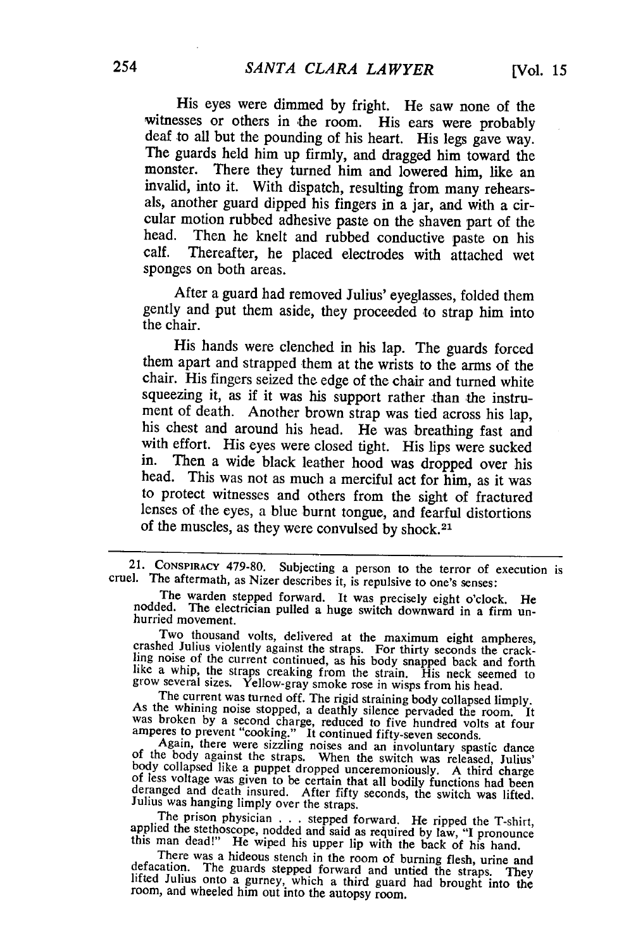His eyes were dimmed by fright. He saw none of the witnesses or others in the room. His ears were probably deaf to all but the pounding of his heart. His legs gave way.<br>The guards held him up firmly, and dragged him toward the monster. There they turned him and lowered him, like an invalid, into it. With dispatch, resulting from many rehearsals, another guard dipped his fingers in a jar, and with a cir-<br>cular motion rubbed adhesive paste on the shaven part of the head. Then he knelt and rubbed conductive paste on his calf. Thereafter, he placed electrodes with attached wet Thereafter, he placed electrodes with attached wet sponges on both areas.

After a guard had removed Julius' eyeglasses, folded them gently and put them aside, they proceeded to strap him into the chair.

His hands were clenched in his lap. The guards forced<br>them apart and strapped them at the wrists to the arms of the<br>chair. His fingers seized the edge of the chair and turned white<br>squeezing it, as if it was his support ra his chest and around his head. He was breathing fast and with effort. His eyes were closed tight. His lips were sucked in. Then a wide black leather hood was dropped over his head. This was not as much a merciful act for him, as it was to protect witnesses and others from the sight of fractured lenses of the eyes, a blue burnt tongue, and fearful distortions of the muscles, as they were convulsed by shock. <sup>21</sup>

21. CONSPIRACY 479-80. Subjecting a person to the terror of execution is cruel. The aftermath, as Nizer describes it, is repulsive to one's senses:<br>The warden stepped forward. It was precisely eight o'clock. He nodded. The

Two thousand volts, delivered at the maximum eight ampheres, crashed Julius violently against the straps. For thirty seconds the crackling noise of the current continued, as his body snapped back and forth like a whip, the straps creaking from the strain. His neck seemed to grow several sizes. Yellow-gray smoke rose in wisps from his head.<br>The current was turned off. The rigid straining body collapsed limply.

The current was turned off. The rigid straining body collapsed limply.<br>As the whining noise stopped, a deathly silence pervaded the room. It was broken by a second charge, reduced to five hundred volts at four

amperes to prevent "cooking." It continued fifty-seven seconds.<br>Again, there were sizzling noises and an involuntary spastic dance<br>of the body against the straps. When the switch was released, Julius<br>body collapsed like a

The prison physician . . . stepped forward. He ripped the T-shirt, applied the stethoscope, nodded and said as required by law, "I pronounce this man dead!" He wiped his upper lip with the back of his hand. There was a hid

There was a hideous stench in the room of burning flesh, urine and<br>defacation. The guards stepped forward and united the straps. They<br>lifted Julius onto a gurney, which a third guard had brought into the<br>room, and wheeled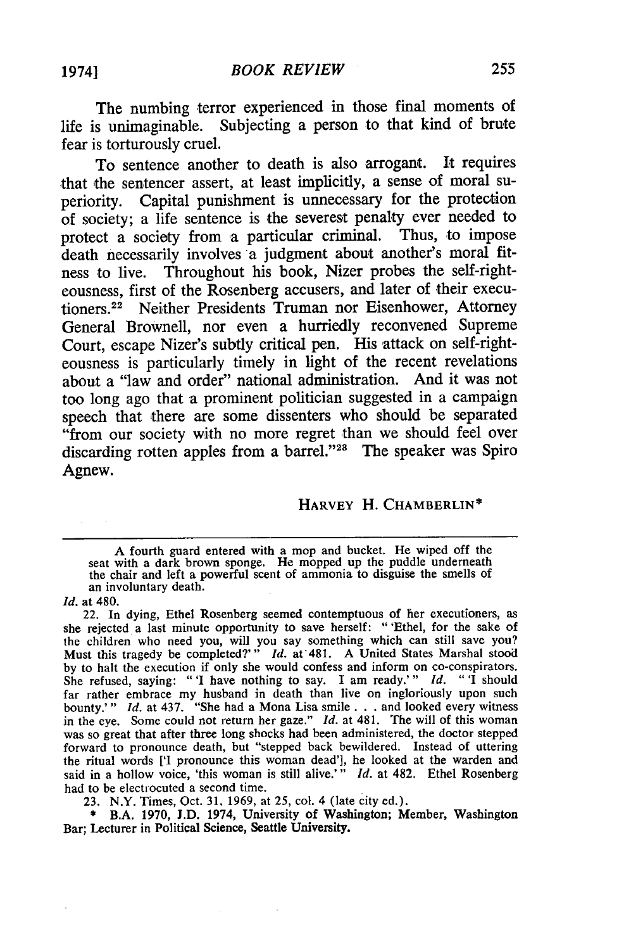The numbing terror experienced in those final moments of life is unimaginable. Subjecting a person to that kind of brute fear is torturously cruel.

To sentence another to death is also arrogant. It requires that the sentencer assert, at least implicitly, a sense of moral superiority. Capital punishment is unnecessary for the protection of society; a life sentence is the severest penalty ever needed to protect a society from a particular criminal. Thus, to impose death necessarily involves a judgment about another's moral fitness to live. Throughout his book, Nizer probes the self-righteousness, first of the Rosenberg accusers, and later of their executioners.22 Neither Presidents Truman nor Eisenhower, Attorney General Brownell, nor even a hurriedly reconvened Supreme Court, escape Nizer's subtly critical pen. His attack on self-righteousness is particularly timely in light of the recent revelations about a "law and order" national administration. And it was not too long ago that a prominent politician suggested in a campaign speech that there are some dissenters who should be separated "from our society with no more regret than we should feel over discarding rotten apples from a barrel."<sup>23</sup> The speaker was Spiro Agnew.

#### HARVEY H. CHAMBERLIN\*

A fourth guard entered with a mop and bucket. He wiped off the seat with a dark brown sponge. He mopped up the puddle underneath the chair and left a powerful scent of ammonia to disguise the smells of an involuntary death.

*Id.* at 480.

22. In dying, Ethel Rosenberg seemed contemptuous of her executioners, as she rejected a last minute opportunity to save herself: " 'Ethel, for the sake of the children who need you, will you say something which can still save you? Must this tragedy be completed?'" *Id.* at 481. A United States Marshal stood by to halt the execution if only she would confess and inform on co-conspirators. She refused, saying: "'I have nothing to say. I am ready.'" *Id.* "I should far rather embrace my husband in death than live on ingloriously upon such bounty.'" *Id.* at 437. "She had a Mona Lisa smile **...** and looked every witness in the eye. Some could not return her gaze." *Id.* at 481. The will of this woman was so great that after three long shocks had been administered, the doctor stepped forward to pronounce death, but "stepped back bewildered. Instead of uttering the ritual words **['I** pronounce this woman dead'], he looked at the warden and said in a hollow voice, 'this woman is still alive.'" *Id.* at 482. Ethel Rosenberg had to be electrocuted a second time.

23. N.Y. Times, Oct. 31, 1969, at 25, col. 4 (late city ed.).

**\*** B.A. **1970, J.D.** 1974, University of Washington; Member, Washington Bar; Lecturer in Political Science, Seattle University.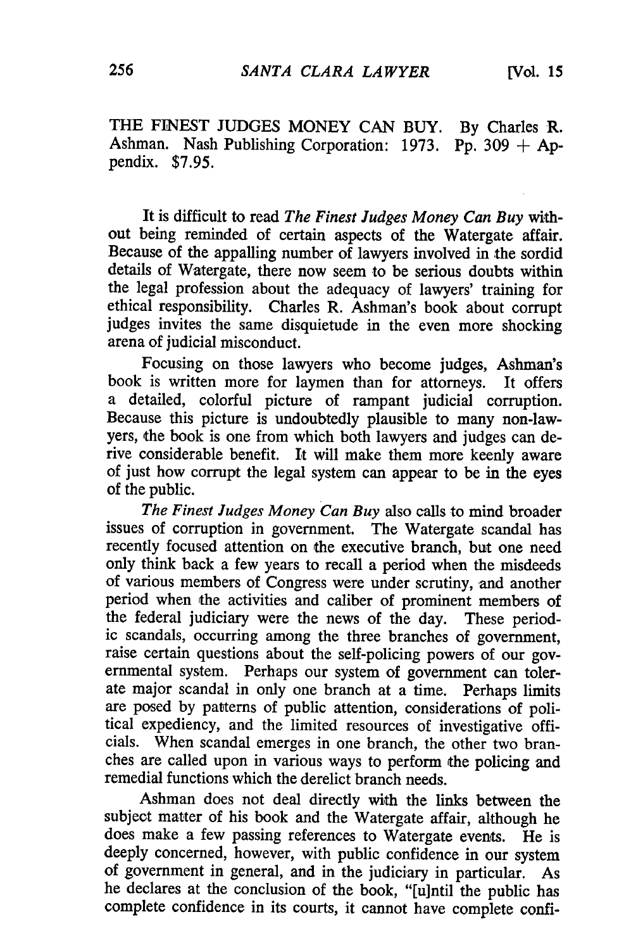THE FINEST JUDGES MONEY CAN BUY. By Charles R. Ashman. Nash Publishing Corporation: 1973. Pp. 309 **+ Ap**pendix. **\$7.95.**

It is difficult to read *The Finest Judges Money Can Buy* without being reminded of certain aspects of the Watergate affair. Because of the appalling number of lawyers involved in the sordid details of Watergate, there now seem to be serious doubts within the legal profession about the adequacy of lawyers' training for ethical responsibility. Charles R. Ashman's book about corrupt judges invites the same disquietude in the even more shocking arena of judicial misconduct.

Focusing on those lawyers who become judges, Ashman's book is written more for laymen than for attorneys. It offers a detailed, colorful picture of rampant judicial corruption. Because this picture is undoubtedly plausible to many non-lawyers, the book is one from which both lawyers and judges can derive considerable benefit. It will make them more keenly aware of just how corrupt the legal system can appear to be in the eyes of the public.

*The Finest Judges Money Can Buy* also calls to mind broader issues of corruption in government. The Watergate scandal has recently focused attention on the executive branch, but one need only think back a few years to recall a period when the misdeeds of various members of Congress were under scrutiny, and another period when the activities and caliber of prominent members of the federal judiciary were the news of the day. These period- ic scandals, occurring among the three branches of government, raise certain questions about the self-policing powers of our governmental system. Perhaps our system of government can tolerate major scandal in only one branch at a time. Perhaps limits are posed by patterns of public attention, considerations of poli- tical expediency, and the limited resources of investigative officials. When scandal emerges in one branch, the other two branches are called upon in various ways to perform the policing and remedial functions which the derelict branch needs.

Ashman does not deal directly with the links between the subject matter of his book and the Watergate affair, although he does make a few passing references to Watergate events. He is deeply concerned, however, with public confidence in our system of government in general, and in the judiciary in particular. As he declares at the conclusion of the book, "[u]ntil the public has complete confidence in its courts, it cannot have complete confi-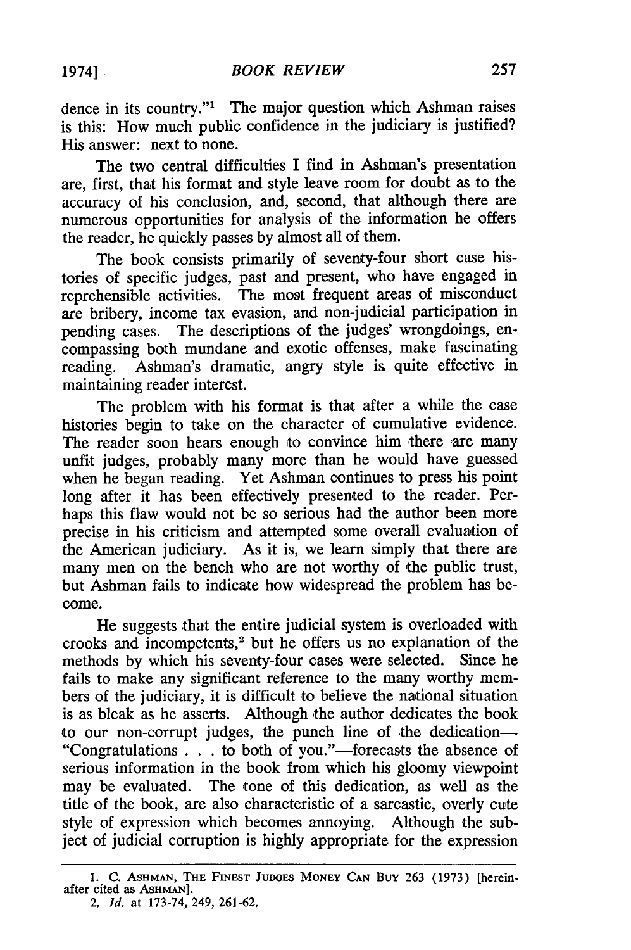dence in its country."' The major question which Ashman raises is this: How much public confidence in the judiciary is justified? His answer: next to none.

The two central difficulties I find in Ashman's presentation are, first, that his format and style leave room for doubt as to the accuracy of his conclusion, and, second, that although there are numerous opportunities for analysis of the information he offers the reader, he quickly passes by almost all of them.

The book consists primarily of seventy-four short case histories of specific judges, past and present, who have engaged in reprehensible activities. The most frequent areas of misconduct are bribery, income tax evasion, and non-judicial participation in pending cases. The descriptions of the judges' wrongdoings, encompassing both mundane and exotic offenses, make fascinating reading. Ashman's dramatic, angry style is quite effective in maintaining reader interest.

The problem with his format is that after a while the case histories begin to take on the character of cumulative evidence. The reader soon hears enough to convince him there are many unfit judges, probably many more than he would have guessed when he began reading. Yet Ashman continues to press his point long after it has been effectively presented to the reader. Perhaps this flaw would not be so serious had the author been more precise in his criticism and attempted some overall evaluation of the American judiciary. As it is, we learn simply that there are many men on the bench who are not worthy of the public trust, but Ashman fails to indicate how widespread the problem has become.

He suggests that the entire judicial system is overloaded with crooks and incompetents,<sup>2</sup> but he offers us no explanation of the methods by which his seventy-four cases were selected. Since he fails to make any significant reference to the many worthy members of the judiciary, it is difficult to believe the national situation is as bleak as he asserts. Although the author dedicates the book to our non-corrupt judges, the punch line of the dedication-"Congratulations . . . to both of you."-forecasts the absence of serious information in the book from which his gloomy viewpoint may be evaluated. The tone of this dedication, as well as the title of the book, are also characteristic of a sarcastic, overly cute style of expression which becomes annoying. Although the subject of judicial corruption is highly appropriate for the expression

<sup>1.</sup> **C. ASHMAN, THE** FINEST **JUDGES MONEY CAN Buy** 263 (1973) [hereinafter cited as **ASHMAN].** 2. *Id.* at 173-74, 249, 261-62,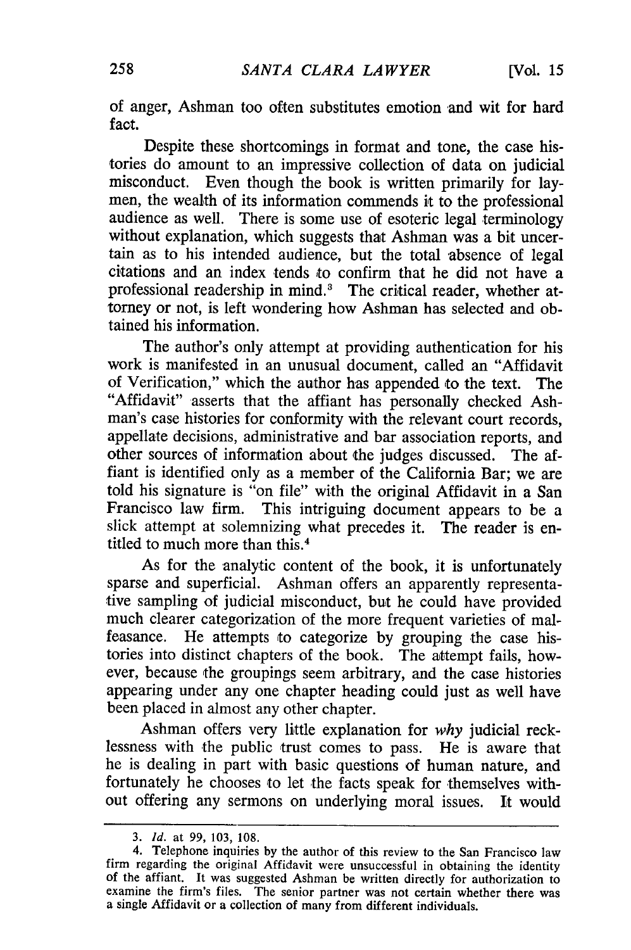of anger, Ashman too often substitutes emotion and wit for hard fact.

Despite these shortcomings in format and tone, the case histories do amount to an impressive collection of data on judicial misconduct. Even though the book is written primarily for laymen, the wealth of its information commends it to the professional audience as well. There is some use of esoteric legal terminology without explanation, which suggests that Ashman was a bit uncertain as to his intended audience, but the total absence of legal citations and an index tends to confirm that he did not have a professional readership in mind.<sup>3</sup> The critical reader, whether attorney or not, is left wondering how Ashman has selected and obtained his information.

The author's only attempt at providing authentication for his work is manifested in an unusual document, called an "Affidavit of Verification," which the author has appended to the text. The "Affidavit" asserts that the affiant has personally checked Ashman's case histories for conformity with the relevant court records, appellate decisions, administrative and bar association reports, and other sources of information about the judges discussed. The affiant is identified only as a member of the California Bar; we are told his signature is "on file" with the original Affidavit in a San Francisco law firm. This intriguing document appears to be a slick attempt at solemnizing what precedes it. The reader is entitled to much more than this.<sup>4</sup>

As for the analytic content of the book, it is unfortunately sparse and superficial. Ashman offers an apparently representative sampling of judicial misconduct, but he could have provided much clearer categorization of the more frequent varieties of malfeasance. He attempts to categorize by grouping the case histories into distinct chapters of the book. The attempt fails, however, because the groupings seem arbitrary, and the case histories appearing under any one chapter heading could just as well have been placed in almost any other chapter.

Ashman offers very little explanation for *why* judicial recklessness with the public trust comes to pass. He is aware that he is dealing in part with basic questions of human nature, and fortunately he chooses to let the facts speak for themselves without offering any sermons on underlying moral issues. It would

<sup>3.</sup> *Id.* at 99, 103, 108.

<sup>4.</sup> Telephone inquiries by the author of this review to the San Francisco law firm regarding the original Affidavit were unsuccessful in obtaining the identity of the affiant. It was suggested Ashman be written directly for authorization to examine the firm's files. The senior partner was not certain whether there was a single Affidavit or a collection of many from different individuals.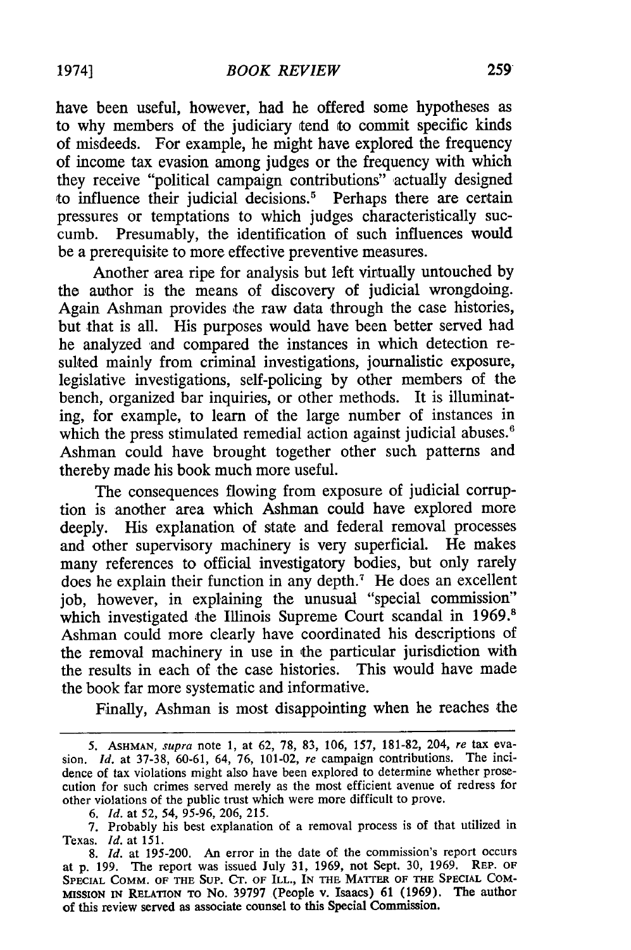have been useful, however, had he offered some hypotheses as to why members of the judiciary tend to commit specific kinds of misdeeds. For example, he might have explored the frequency of income tax evasion among judges or the frequency with which they receive "political campaign contributions" actually designed to influence their judicial decisions.<sup>5</sup> Perhaps there are certain pressures or temptations to which judges characteristically succumb. Presumably, the identification of such influences would be a prerequisite to more effective preventive measures.

Another area ripe for analysis but left virtually untouched by the author is the means of discovery of judicial wrongdoing. Again Ashman provides the raw data through the case histories, but that is all. His purposes would have been better served had he analyzed and compared the instances in which detection resulted mainly from criminal investigations, journalistic exposure, legislative investigations, self-policing by other members of the bench, organized bar inquiries, or other methods. It is illuminating, for example, to learn of the large number of instances in which the press stimulated remedial action against judicial abuses.<sup>6</sup> Ashman could have brought together other such patterns and thereby made his book much more useful.

The consequences flowing from exposure of judicial corruption is another area which Ashman could have explored more deeply. His explanation of state and federal removal processes and other supervisory machinery is very superficial. He makes many references to official investigatory bodies, but only rarely does he explain their function in any depth.<sup> $7$ </sup> He does an excellent job, however, in explaining the unusual "special commission" which investigated the Illinois Supreme Court scandal in 1969.<sup>8</sup> Ashman could more clearly have coordinated his descriptions of the removal machinery in use in the particular jurisdiction with the results in each of the case histories. This would have made the book far more systematic and informative.

Finally, Ashman is most disappointing when he reaches the

<sup>5.</sup> ASHMAN, supra note 1, at 62, 78, 83, 106, 157, 181-82, 204, re tax evasion. *Id.* at 37-38, 60-61, 64, 76, 101-02, re campaign contributions. The incidence of tax violations might also have been explored to determine whether prosecution for such crimes served merely as the most efficient avenue of redress for other violations of the public trust which were more difficult to prove.

*<sup>6.</sup> Id.* at 52, 54, 95-96, 206, 215.

<sup>7.</sup> Probably his best explanation of a removal process is of that utilized in Texas. *Id.* at 151.

*<sup>8.</sup> Id.* at 195-200. An error in the date of the commission's report occurs at **p.** 199. The report was issued July 31, 1969, not Sept. 30, 1969. REP. OF SPECIAL COMM. OF THE SUP. CT. OF ILL., IN THE MATTER OF THE SPECIAL COM-MISSION **IN** RELATION **TO** No. **39797** (People v. Isaacs) 61 **(1969).** The author of this review served as associate counsel to this Special Commission.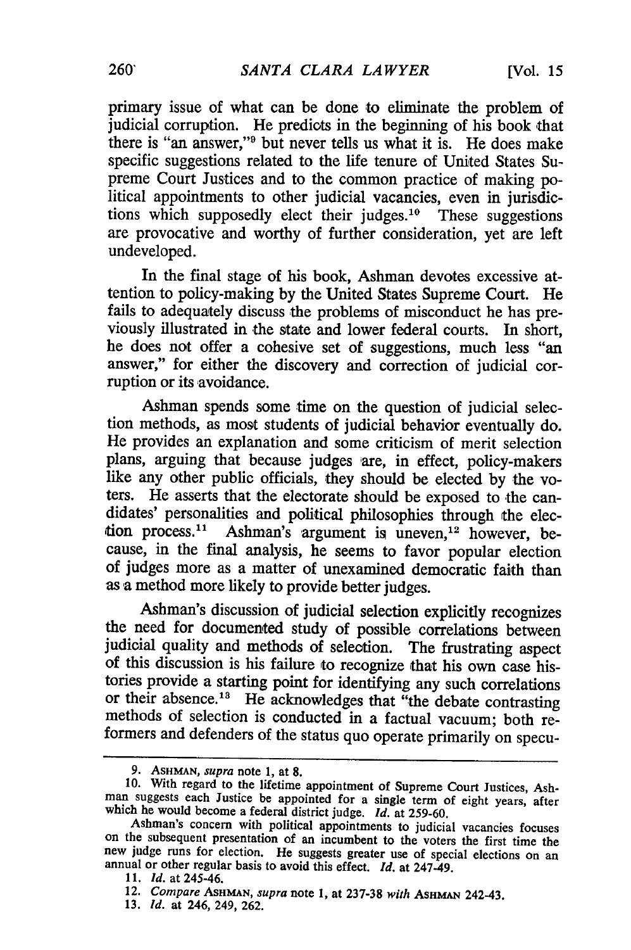primary issue of what can be done to eliminate the problem of judicial corruption. He predicts in the beginning of his book that there is "an answer,"9 but never tells us what it is. He does make specific suggestions related to the life tenure of United States Supreme Court Justices and to the common practice of making po-<br>litical appointments to other judicial vacancies, even in jurisdic-<br>tions which supposedly elect their judges.<sup>10</sup> These suggestions are provocative and worthy of further consideration, yet are left undeveloped.

In the final stage of his book, Ashman devotes excessive attention to policy-making by the United States Supreme Court. He fails to adequately discuss the problems of misconduct he has previously illustrated in the state and lower federal courts. In short, he does not offer a cohesive set of suggestions, much less "an answer," for either the discovery and correction of judicial corruption or its avoidance.

Ashman spends some time on the question of judicial selection methods, as most students of judicial behavior eventually do. He provides an explanation and some criticism of merit selection plans, arguing that because judges iare, in effect, policy-makers like any other public officials, they should be elected by the voters. He asserts that the electorate should be exposed to the candidates' personalities and political philosophies through the election process.<sup>11</sup> Ashman's argument is uneven,<sup>12</sup> however, because, in the final analysis, he seems to favor popular election of judges more as a matter of unexamined democratic faith than as a method more likely to provide better judges.

Ashman's discussion of judicial selection explicitly recognizes the need for documented study of possible correlations between judicial quality and methods of selection. The frustrating aspect of this discussion is his failure to recognize that his own case histories provide a starting point for identifying any such correlations or their absence.<sup>13</sup> He acknowledges that "the debate contrasting methods of selection is conducted in a factual vacuum; both reformers and defenders of the status quo operate primarily on specu-

**<sup>9.</sup> ASHMAN,** supra note **1,** at **8.**

<sup>10.</sup> With regard to the lifetime appointment of Supreme Court Justices, Ash-man suggests each Justice be appointed for a single term of eight years, after which he would become a federal district judge. *Id.* at 259-60.<br>Ashman's concern with political appointments to judicial vacancies focuses

on the subsequent presentation of an incumbent to the voters the first time the new judge runs for election. He suggests greater use of special elections on an annual or other regular basis to avoid this effect.  $Id$ , at 2

*<sup>11.</sup> Id.* at 245-46.

<sup>12.</sup> *Compare* **ASHMAN,** *supra* note **1,** at **237-38** *with* AsHMN 242-43.

<sup>13.</sup> *id.* at 246, 249, 262.